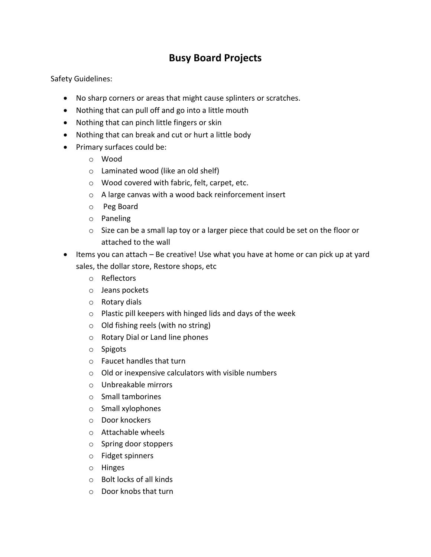## **Busy Board Projects**

Safety Guidelines:

- No sharp corners or areas that might cause splinters or scratches.
- Nothing that can pull off and go into a little mouth
- Nothing that can pinch little fingers or skin
- Nothing that can break and cut or hurt a little body
- Primary surfaces could be:
	- o Wood
	- o Laminated wood (like an old shelf)
	- o Wood covered with fabric, felt, carpet, etc.
	- o A large canvas with a wood back reinforcement insert
	- o Peg Board
	- o Paneling
	- $\circ$  Size can be a small lap toy or a larger piece that could be set on the floor or attached to the wall
- Items you can attach Be creative! Use what you have at home or can pick up at yard sales, the dollar store, Restore shops, etc
	- o Reflectors
	- o Jeans pockets
	- o Rotary dials
	- o Plastic pill keepers with hinged lids and days of the week
	- o Old fishing reels (with no string)
	- o Rotary Dial or Land line phones
	- o Spigots
	- o Faucet handles that turn
	- o Old or inexpensive calculators with visible numbers
	- o Unbreakable mirrors
	- o Small tamborines
	- o Small xylophones
	- o Door knockers
	- o Attachable wheels
	- o Spring door stoppers
	- o Fidget spinners
	- o Hinges
	- o Bolt locks of all kinds
	- o Door knobs that turn